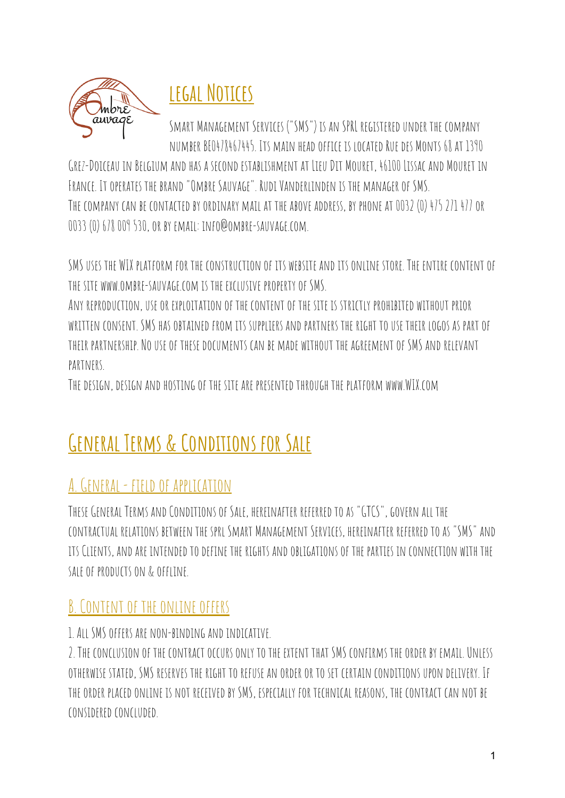

## **legal Notices**

SMART MANAGEMENT SERVICES ("SMS") IS AN SPRL REGISTERED UNDER THE COMPANY number BE0478467445. Its main head office is located Rue DES MONTS 68 AT 1390

Grez-Doiceauin Belgium andhas a secondestablishment at LieuDit Mouret, 46100 Lissac and Mouret in France. Itoperates the brand"Ombre Sauvage". Rudi Vanderlinden is the managerof SMS. THE COMPANY CAN BE CONTACTED BY ORDINARY MAIL AT THE ABOVE ADDRESS, BY PHONE AT 0032 (0) 475 271 477 OR 0033 (0) 678 009 530,or by email: info@ombre-sauvage.com.

SMS USES THE WIX PLATFORM FOR THE CONSTRUCTION OF ITS WEBSITE AND ITS ONLINE STORE. THE ENTIRE CONTENT OF the site www.ombre-sauvage.com is the exclusive propertyof SMS.

ANY REPRODUCTION, USE OR EXPLOITATION OF THE CONTENT OF THE SITE IS STRICTLY PROHIBITED WITHOUT PRIOR written consent. SMS has obtained from its suppliers and partners the right to use their logos as part of their partnership.Nouseof thesedocuments can be made without the agreementof SMS andrelevant **PARTNFRS** 

Thedesign,design andhostingof the site are presentedthrough the platform www.WIX.com

# **General Terms & Conditions for Sale**

## A. GENERAL - FIELD OF APPLICATION

THESE GENERAL TERMS AND CONDITIONS OF SALE, HEREINAFTER REFERRED TO AS "GTCS", GOVERN ALL THE contractual relations between the sprl Smart Management Services, hereinafter referredtoas "SMS" and its Clients, andare intendedtodefine the rights andobligationsof the parties in connection with the SALE OF PRODUCTS ON & OFFLINE.

#### B. CONTENT OF THE ONLINE OFFERS

#### 1.All SMSoffers are non-binding andindicative.

2. THE CONCLUSION OF THE CONTRACT OCCURS ONLY TO THE EXTENT THAT SMS CONFIRMS THE ORDER BY EMAIL. UNLESS otherwise stated, SMS reserves the right torefuse an orderor toset certain conditionsupon delivery. If THE ORDER PLACED ONLINE IS NOT RECEIVED BY SMS, ESPECIALLY FOR TECHNICAL REASONS. THE CONTRACT CAN NOT BE consideredconcluded.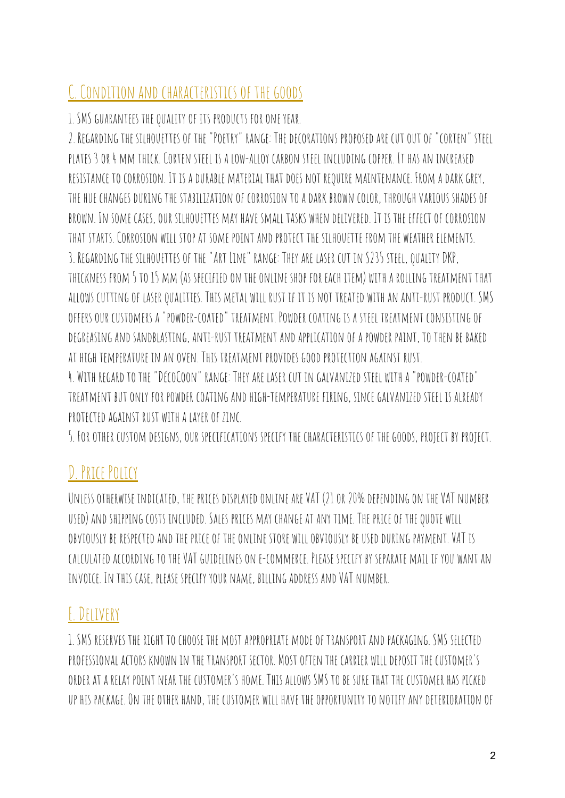## C. CONDITION AND CHARACTERISTICS OF THE GOODS

1. SMS GUARANTEES THE QUALITY OF ITS PRODUCTS FOR ONE YEAR.

2. REGARDING THE SILHOUETTES OF THE "POETRY" RANGE: THE DECORATIONS PROPOSED ARE CUT OUT OF "CORTEN" STEEL plates 3or 4 mm thick. Corten steel is a low-alloy carbon steel including copper. It has an increased RESISTANCE TO CORROSION. IT IS A DURABLE MATERIAL THAT DOES NOT REQUIRE MAINTENANCE. FROM A DARK GREY, THE HUE CHANGES DURING THE STABILIZATION OF CORROSION TO A DARK BROWN COLOR, THROUGH VARIOUS SHADES OF brown. In some cases,our silhouettes may have small tasks when delivered. It is the effectof corrosion that starts. Corrosion will stop at some point andprotect the silhouette from the weather elements. 3. REGARDING THE SILHOUETTES OF THE "ART LINE" RANGE: THEY ARE LASER CUT IN S235 STEEL, QUALITY DKP, thickness from 5 to15 mm (as specifiedon theonline shop for each item) with a rolling treatment that allows cuttingof laserqualities. This metal will rust if it is not treated with an anti-rust product. SMS OFFERS OUR CUSTOMERS A "POWDER-COATED" TREATMENT. POWDER COATING IS A STEEL TREATMENT CONSISTING OF DEGREASING AND SANDBLASTING, ANTI-RUST TREATMENT AND APPLICATION OF A POWDER PAINT, TO THEN BE BAKED at high temperature in an oven. This treatment provides goodprotection against rust.

4. WITH REGARD TO THE "DÉCOCOON" RANGE: THEY ARE LASER CUT IN GALVANIZED STEEL WITH A "POWDER-COATED" treatment butonly for powder coating andhigh-temperature firing, since galvanizedsteel is already protectedagainst rust with a layerof zinc.

5. FOR OTHER CUSTOM DESIGNS, OUR SPECIFICATIONS SPECIFY THE CHARACTERISTICS OF THE GOODS, PROJECT BY PROJECT.

## D. Price Policy

UNLESS OTHERWISE INDICATED, THE PRICES DISPLAYED ONLINE ARE VAT (21 OR 20% DEPENDING ON THE VAT NUMBER USED) AND SHIPPING COSTS INCLUDED. SALES PRICES MAY CHANGE AT ANY TIME. THE PRICE OF THE QUOTE WILL OBVIOUSLY BE RESPECTED AND THE PRICE OF THE ONLINE STORE WILL OBVIOUSLY BE USED DURING PAYMENT. VAT IS calculatedaccording tothe VAT guidelineson e-commerce. Please specify by separate mail if you want an INVOICE. IN THIS CASE, PLEASE SPECIFY YOUR NAME, BILLING ADDRESS AND VAT NUMBER.

## E.Delivery

1. SMS reserves the right tochoose the most appropriate modeof transport andpackaging. SMS selected professional actors known in the transport sector. Mostoften the carrier willdeposit the customer's order at a relay point near the customer's home. This allows SMS tobe sure that the customer has picked up his package.On theother hand, the customer will have theopportunity to notify anydeterioration of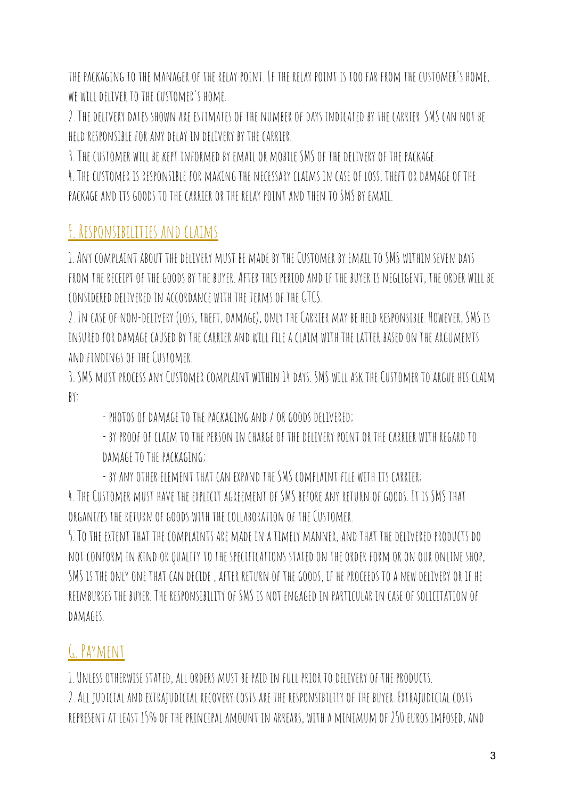the packaging tothe managerof the relay point. If the relay point is toofar from the customer's home, WE WILL DELIVER TO THE CUSTOMER'S HOME.

2. Thedeliverydates shown are estimatesof the numberofdays indicatedby the carrier. SMS can not be heldresponsible for anydelay in delivery by the carrier.

3. THE CUSTOMER WILL BE KEPT INFORMED BY EMAIL OR MOBILE SMS OF THE DELIVERY OF THE PACKAGE.

4. THE CUSTOMER IS RESPONSIBLE FOR MAKING THE NECESSARY CLAIMS IN CASE OF LOSS, THEFT OR DAMAGE OF THE package and its goods to the carrier or the relay point and then to SMS by email.

## F. RESPONSIBILITIES AND CLAIMS

1.Any complaint about thedelivery must be made by the Customer by email toSMS within seven days from the receiptof the goods by the buyer.After this periodandif the buyer is negligent, theorder will be considereddeliveredin accordance with the termsof theGTCS.

2. IN CASE OF NON-DELIVERY (LOSS, THEFT, DAMAGE), ONLY THE CARRIER MAY BE HELD RESPONSIBLE. HOWEVER, SMS IS insuredfordamage causedby the carrier and will file a claim with the latter basedon the arguments and findings of the Customer.

3. SMS must process any Customer complaint within 14days. SMS will ask the Customer toargue his claim by:

- PHOTOS OF DAMAGE TO THE PACKAGING AND / OR GOODS DELIVERED;

- by proofof claim tothe person in chargeof thedelivery pointor the carrier with regardto DAMAGE TO THE PACKAGING;

- by anyother element that can expandthe SMS complaint file with its carrier; 4. The Customer must have the explicit agreementof SMS before any return of goods. It is SMS that organizes the return of goods with the collaboration of the Customer.

5. Tothe extent that the complaints are made in a timely manner, andthat thedeliveredproductsdo NOT CONFORM IN KIND OR QUALITY TO THE SPECIFICATIONS STATED ON THE ORDER FORM OR ON OUR ONLINE SHOP, SMS is theonlyone that can decide , after return of the goods, if he proceeds toa new deliveryor if he reimburses the buyer. The responsibilityof SMS is not engagedin particular in caseof solicitation of DAMAGFS.

## G. Payment

1.Unlessotherwise stated, allorders must be paidin full prior todeliveryof the products. 2.All judicial andextrajudicial recovery costs are the responsibilityof the buyer. Extrajudicial costs represent at least 15% of the principal amount in arrears, with a minimum of 250 euros imposed, and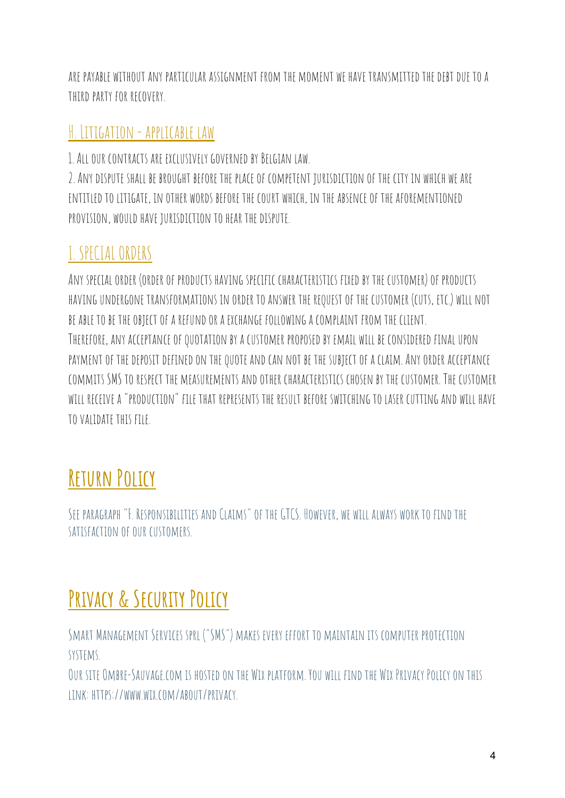are payable without any particular assignment from the moment we have transmittedthedebtdue toa THIRD PARTY FOR RECOVERY.

#### H. Litigation - applicable law

1. ALL OUR CONTRACTS ARE EXCLUSIVELY GOVERNED BY BELGIAN LAW.

2. ANY DISPUTE SHALL BE BROUGHT BEFORE THE PLACE OF COMPETENT JURISDICTION OF THE CITY IN WHICH WE ARE entitledtolitigate, in other words before the court which, in the absenceof the aforementioned PROVISION, WOULD HAVE JURISDICTION TO HEAR THE DISPUTE.

## I. SPECIALORDERS

ANY SPECIAL ORDER (ORDER OF PRODUCTS HAVING SPECIFIC CHARACTERISTICS FIXED BY THE CUSTOMER) OF PRODUCTS HAVING UNDERGONE TRANSFORMATIONS IN ORDER TO ANSWER THE REQUEST OF THE CUSTOMER (CUTS, ETC.) WILL NOT be able tobe theobjectof a refundor a exchange following a complaint from the client. THEREFORE, ANY ACCEPTANCE OF QUOTATION BY A CUSTOMER PROPOSED BY EMAIL WILL BE CONSIDERED FINAL UPON PAYMENT OF THE DEPOSIT DEFINED ON THE QUOTE AND CAN NOT BE THE SUBJECT OF A CLAIM. ANY ORDER ACCEPTANCE commits SMS to respect the measurements and other characteristics chosen by the customer. The customer will receive a "production" file that represents the result before switching tolaser cutting and will have tovalidate this file.

# **Return Policy**

SEE PARAGRAPH "F. RESPONSIBILITIES AND CLAIMS" OF THE GTCS. HOWEVER, WE WILL ALWAYS WORK TO FIND THE satisfaction of our customers.

# **Privacy & Security Policy**

Smart Management Services sprl ("SMS") makes every effort to maintain its computer protection systems.

OUR SITE OMBRE-SAUVAGE.COM IS HOSTED ON THE WIX PLATFORM. YOU WILL FIND THE WIX PRIVACY POLICY ON THIS link: https://www.wix.com/about/privacy.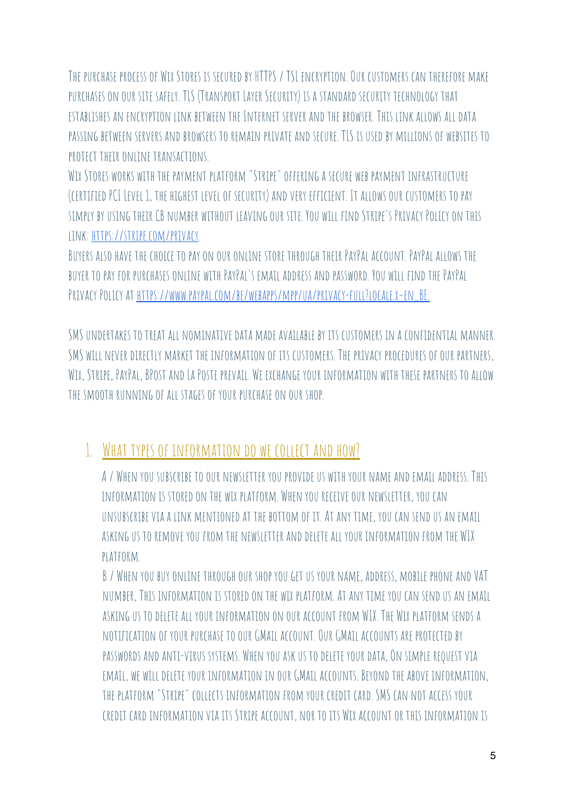THE PURCHASE PROCESS OF WIX STORES IS SECURED BY HTTPS / TSL ENCRYPTION. OUR CUSTOMERS CAN THEREFORE MAKE PURCHASES ON OUR SITE SAFELY. TLS (TRANSPORT LAYER SECURITY) IS A STANDARD SECURITY TECHNOLOGY THAT establishes an encryption link between the Internet server andthe browser. This link allows alldata passing between servers and browsers to remain private and secure. TLS is used by millions of websites to PROTECT THETR ONLINE TRANSACTIONS.

WIX STORES WORKS WITH THE PAYMENT PLATFORM "STRIPE" OFFERING A SECURE WEB PAYMENT INFRASTRUCTURE (CERTIFIED PCI LEVEL 1, THE HIGHEST LEVEL OF SECURITY) AND VERY EFFICIENT. IT ALLOWS OUR CUSTOMERS TO PAY simply byusing their CB number without leavingour site. You will findStripe's Privacy Policyon this link: <https://stripe.com/privacy>.

BUYERS ALSO HAVE THE CHOICE TO PAY ON OUR ONLINE STORE THROUGH THEIR PAYPAL ACCOUNT. PAYPAL ALLOWS THE buyer topay for purchasesonline with PayPal's email address andpassword. You will findthe PayPal PRIVACY POLICY AT HTTPS://WWW.PAYPAL.COM/BE/WEBAPPS/MPP/UA/PRIVACY-FULL?LOCALE.X=EN\_BE.

SMS UNDERTAKES TO TREAT ALL NOMINATIVE DATA MADE AVAILABLE BY ITS CUSTOMERS IN A CONFIDENTIAL MANNER. SMS WILL NEVER DIRECTLY MARKET THE INFORMATION OF ITS CUSTOMERS. THE PRIVACY PROCEDURES OF OUR PARTNERS, WIX, STRIPE, PAYPAL, BPOST AND LA POSTE PREVAIL. WE EXCHANGE YOUR INFORMATION WITH THESE PARTNERS TO ALLOW the smooth runningof all stagesof your purchaseon our shop.

## 1. WHAT TYPES OF INFORMATION DO WE COLLECT AND HOW?

A/WHEN YOU SUBSCRIBE TO OUR NEWSLETTER YOU PROVIDE US WITH YOUR NAME AND EMAIL ADDRESS. THIS INFORMATION IS STORED ON THE WIX PLATFORM. WHEN YOU RECEIVE OUR NEWSLETTER, YOU CAN unsubscribevia a link mentionedat the bottom of it.At any time, youcan sendus an email askingus toremove youfrom the newsletter anddelete all your information from the WIX platform.

B / WHEN YOU BUY ONLINE THROUGH OUR SHOP YOU GET US YOUR NAME, ADDRESS, MOBILE PHONE AND VAT number, This information is storedon the wix platform.At any time youcan sendus an email askingus todelete all your information on our account from WIX. The Wix platform sends a notification of your purchase toourGMail account.OurGMail accounts are protectedby passwords andanti-virus systems. When youaskus todelete yourdata,On simple requestvia email, we willdelete your information in ourGMail accounts. Beyondthe above information, the platform "Stripe" collects information from your credit card. SMS can not access your credit cardinformation via its Stripe account, nor toits Wix accountor this information is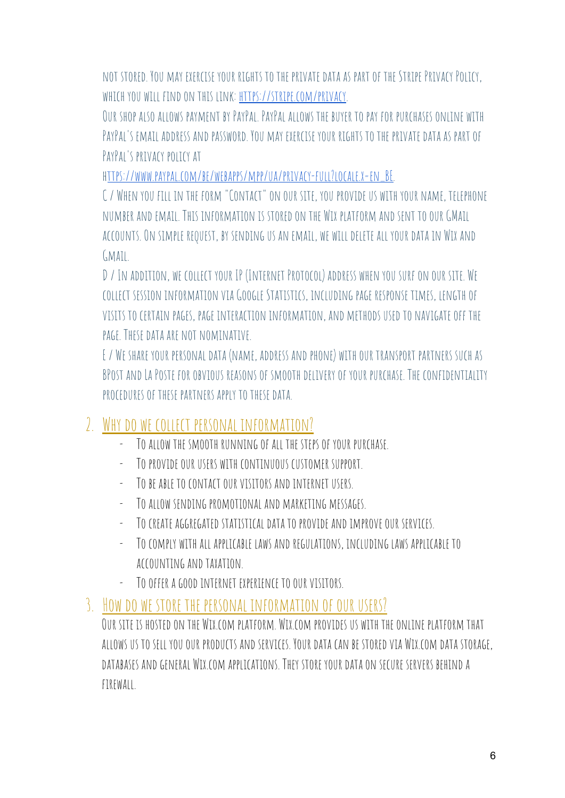not stored. You may exercise your rights tothe privatedata as partof the Stripe Privacy Policy, which you will findon this link: [https://stripe.com/privacy.](https://stripe.com/privacy)

OUR SHOP ALSO ALLOWS PAYMENT BY PAYPAL. PAYPAL ALLOWS THE BUYER TO PAY FOR PURCHASES ONLINE WITH PAYPAL'S EMAIL ADDRESS AND PASSWORD. YOU MAY EXERCISE YOUR RIGHTS TO THE PRIVATE DATA AS PART OF PAYPAL'S PRIVACY POLICY AT

h[ttps://www.paypal.com/be/webapps/mpp/ua/privacy-full?locale.x=en\\_BE.](http://www.paypal.com/be/webapps/mpp/ua/privacy-full?locale.x=en_BE)

C / WHEN YOU FILL IN THE FORM "CONTACT" ON OUR SITE, YOU PROVIDE US WITH YOUR NAME, TELEPHONE number andemail. This information is storedon the Wix platform andsent toourGMail accounts.On simple request, by sendingus an email, we willdelete all yourdata in Wix and  $GMAII$ .

D/ In addition, we collect your IP (Internet Protocol) address when yousurfon our site. We collect session information viaGoogle Statistics, including page response times, lengthof visits tocertain pages, page interaction information, and methodsusedto navigateoff the PAGE. THESE DATA ARE NOT NOMINATIVE.

E / WE SHARE YOUR PERSONAL DATA (NAME, ADDRESS AND PHONE) WITH OUR TRANSPORT PARTNERS SUCH AS BPOST AND LA POSTE FOR OBVIOUS REASONS OF SMOOTH DELIVERY OF YOUR PURCHASE. THE CONFIDENTIALITY PROCEDURES OF THESE PARTNERS APPLY TO THESE DATA

## 2. Whydo we collect personal information?

- TO ALLOW THE SMOOTH RUNNING OF ALL THE STEPS OF YOUR PURCHASE.
- TO PROVIDE OUR USERS WITH CONTINUOUS CUSTOMER SUPPORT.
- TO BE ABLE TO CONTACT OUR VISITORS AND INTERNET USERS.
- Toallow sending promotional and marketing messages.
- TO CREATE AGGREGATED STATISTICAL DATA TO PROVIDE AND IMPROVE OUR SERVICES.
- Tocomply with all applicable laws andregulations, including laws applicable to accounting and taxation.
- TO OFFER A GOOD INTERNET EXPERIENCE TO OUR VISITORS.

#### 3. How do we store the personal information of our users?

OUR SITE IS HOSTED ON THE WIX.COM PLATFORM. WIX.COM PROVIDES US WITH THE ONLINE PLATFORM THAT allowsus tosell youour products andservices. Yourdata can be storedvia Wix.com data storage, databases andgeneral Wix.com applications. They store yourdataon secure servers behinda firewall.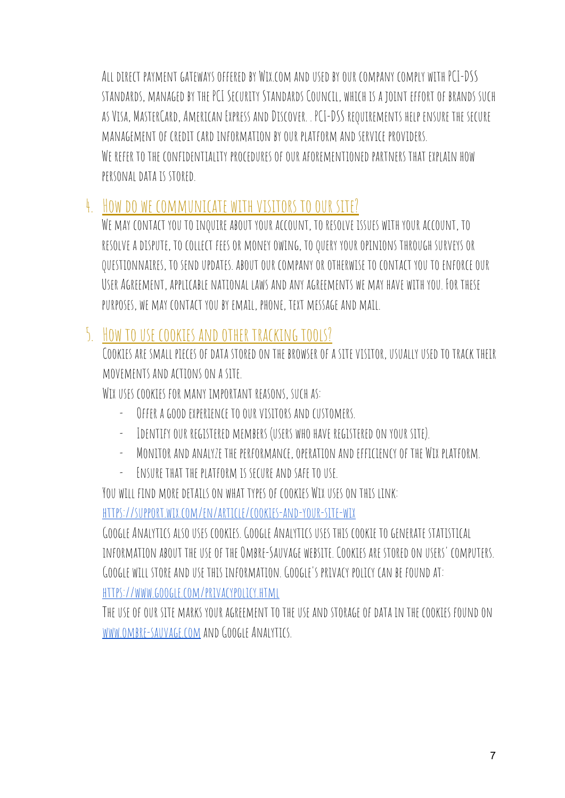ALL DIRECT PAYMENT GATEWAYS OFFERED BY WIX.COM AND USED BY OUR COMPANY COMPLY WITH PCI-DSS STANDARDS, MANAGED BY THE PCI SECURITY STANDARDS COUNCIL, WHICH IS A JOINT EFFORT OF BRANDS SUCH as Visa, MasterCard,American Express andDiscover. . PCI-DSS requirements help ensure the secure managementof credit cardinformation byour platform andservice providers. WE REFER TO THE CONFIDENTIALITY PROCEDURES OF OUR AFOREMENTIONED PARTNERS THAT EXPLAIN HOW personaldata is stored.

#### 4. How do we communicate with visitors to our site?

WE MAY CONTACT YOU TO INQUIRE ABOUT YOUR ACCOUNT, TO RESOLVE ISSUES WITH YOUR ACCOUNT, TO RESOLVE A DISPUTE, TO COLLECT FEES OR MONEY OWING, TO QUERY YOUR OPINIONS THROUGH SURVEYS OR questionnaires, tosendupdates. aboutour companyorotherwise tocontact youtoenforceour USER AGREEMENT, APPLICABLE NATIONAL LAWS AND ANY AGREEMENTS WE MAY HAVE WITH YOU. FOR THESE purposes, we may contact youby email, phone, text message and mail.

## 5. How to USE COOKIES AND OTHER TRACKING TOOLS?

COOKIFS ARE SMALL PIECES OF DATA STORED ON THE BROWSER OF A SITE VISITOR, USUALLY USED TO TRACK THEIR movements andactionson a site.

WIX USES COOKIES FOR MANY IMPORTANT REASONS, SUCH AS:

- OFFER A GOOD EXPERIENCE TO OUR VISITORS AND CUSTOMERS.
- IDENTIFY OUR REGISTERED MEMBERS (USERS WHO HAVE REGISTERED ON YOUR SITE).
- Monitor andanalyze the performance,operation andefficiencyof the Wix platform.
- ENSURE THAT THE PLATFORM IS SECURE AND SAFE TO USE.

YOU WILL FIND MORE DETAILS ON WHAT TYPES OF COOKIES WIX USES ON THIS LINK:

<https://support.wix.com/en/article/cookies-and-your-site-wix>

GoogleAnalytics alsouses cookies.GoogleAnalyticsuses this cookie togenerate statistical INFORMATION ABOUT THE USE OF THE OMBRE-SAUVAGE WEBSITE. COOKIES ARE STORED ON USERS' COMPUTERS. Google will store anduse this information.Google's privacy policy can be foundat: <https://www.google.com/privacypolicy.html>

THE USE OF OUR SITE MARKS YOUR AGREEMENT TO THE USE AND STORAGE OF DATA IN THE COOKIES FOUND ON [www.ombre-sauvage.com](http://www.ombre-sauvage.com/) and Google Analytics.